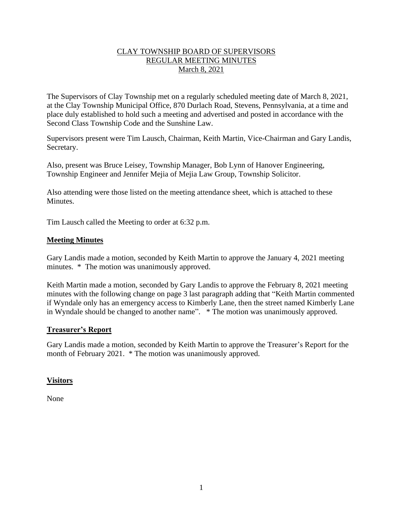## CLAY TOWNSHIP BOARD OF SUPERVISORS REGULAR MEETING MINUTES March 8, 2021

The Supervisors of Clay Township met on a regularly scheduled meeting date of March 8, 2021, at the Clay Township Municipal Office, 870 Durlach Road, Stevens, Pennsylvania, at a time and place duly established to hold such a meeting and advertised and posted in accordance with the Second Class Township Code and the Sunshine Law.

Supervisors present were Tim Lausch, Chairman, Keith Martin, Vice-Chairman and Gary Landis, Secretary.

Also, present was Bruce Leisey, Township Manager, Bob Lynn of Hanover Engineering, Township Engineer and Jennifer Mejia of Mejia Law Group, Township Solicitor.

Also attending were those listed on the meeting attendance sheet, which is attached to these Minutes.

Tim Lausch called the Meeting to order at 6:32 p.m.

## **Meeting Minutes**

Gary Landis made a motion, seconded by Keith Martin to approve the January 4, 2021 meeting minutes. \* The motion was unanimously approved.

Keith Martin made a motion, seconded by Gary Landis to approve the February 8, 2021 meeting minutes with the following change on page 3 last paragraph adding that "Keith Martin commented if Wyndale only has an emergency access to Kimberly Lane, then the street named Kimberly Lane in Wyndale should be changed to another name". \* The motion was unanimously approved.

#### **Treasurer's Report**

Gary Landis made a motion, seconded by Keith Martin to approve the Treasurer's Report for the month of February 2021. \* The motion was unanimously approved.

## **Visitors**

None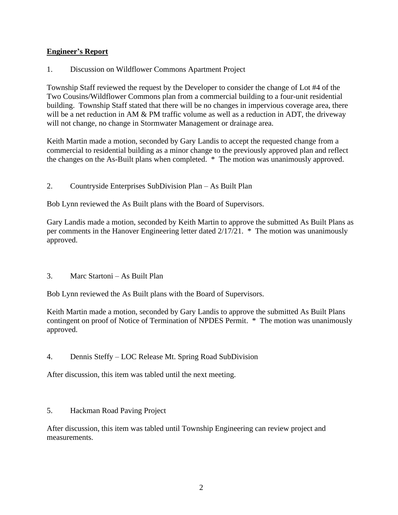## **Engineer's Report**

1. Discussion on Wildflower Commons Apartment Project

Township Staff reviewed the request by the Developer to consider the change of Lot #4 of the Two Cousins/Wildflower Commons plan from a commercial building to a four-unit residential building. Township Staff stated that there will be no changes in impervious coverage area, there will be a net reduction in AM & PM traffic volume as well as a reduction in ADT, the driveway will not change, no change in Stormwater Management or drainage area.

Keith Martin made a motion, seconded by Gary Landis to accept the requested change from a commercial to residential building as a minor change to the previously approved plan and reflect the changes on the As-Built plans when completed. \* The motion was unanimously approved.

2. Countryside Enterprises SubDivision Plan – As Built Plan

Bob Lynn reviewed the As Built plans with the Board of Supervisors.

Gary Landis made a motion, seconded by Keith Martin to approve the submitted As Built Plans as per comments in the Hanover Engineering letter dated 2/17/21. \* The motion was unanimously approved.

3. Marc Startoni – As Built Plan

Bob Lynn reviewed the As Built plans with the Board of Supervisors.

Keith Martin made a motion, seconded by Gary Landis to approve the submitted As Built Plans contingent on proof of Notice of Termination of NPDES Permit. \* The motion was unanimously approved.

4. Dennis Steffy – LOC Release Mt. Spring Road SubDivision

After discussion, this item was tabled until the next meeting.

5. Hackman Road Paving Project

After discussion, this item was tabled until Township Engineering can review project and measurements.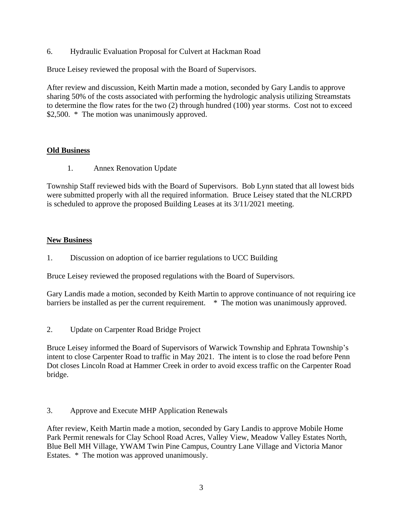6. Hydraulic Evaluation Proposal for Culvert at Hackman Road

Bruce Leisey reviewed the proposal with the Board of Supervisors.

After review and discussion, Keith Martin made a motion, seconded by Gary Landis to approve sharing 50% of the costs associated with performing the hydrologic analysis utilizing Streamstats to determine the flow rates for the two (2) through hundred (100) year storms. Cost not to exceed \$2,500. \* The motion was unanimously approved.

## **Old Business**

1. Annex Renovation Update

Township Staff reviewed bids with the Board of Supervisors. Bob Lynn stated that all lowest bids were submitted properly with all the required information. Bruce Leisey stated that the NLCRPD is scheduled to approve the proposed Building Leases at its 3/11/2021 meeting.

# **New Business**

1. Discussion on adoption of ice barrier regulations to UCC Building

Bruce Leisey reviewed the proposed regulations with the Board of Supervisors.

Gary Landis made a motion, seconded by Keith Martin to approve continuance of not requiring ice barriers be installed as per the current requirement. \* The motion was unanimously approved.

2. Update on Carpenter Road Bridge Project

Bruce Leisey informed the Board of Supervisors of Warwick Township and Ephrata Township's intent to close Carpenter Road to traffic in May 2021. The intent is to close the road before Penn Dot closes Lincoln Road at Hammer Creek in order to avoid excess traffic on the Carpenter Road bridge.

3. Approve and Execute MHP Application Renewals

After review, Keith Martin made a motion, seconded by Gary Landis to approve Mobile Home Park Permit renewals for Clay School Road Acres, Valley View, Meadow Valley Estates North, Blue Bell MH Village, YWAM Twin Pine Campus, Country Lane Village and Victoria Manor Estates. \* The motion was approved unanimously.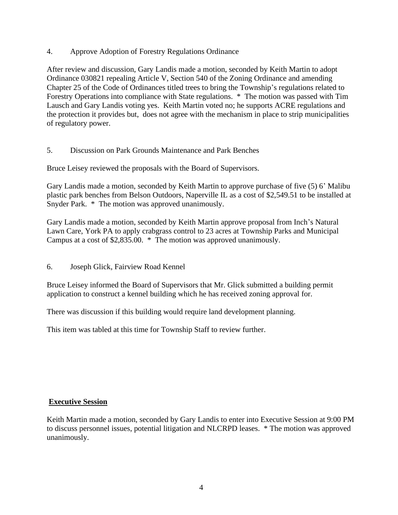4. Approve Adoption of Forestry Regulations Ordinance

After review and discussion, Gary Landis made a motion, seconded by Keith Martin to adopt Ordinance 030821 repealing Article V, Section 540 of the Zoning Ordinance and amending Chapter 25 of the Code of Ordinances titled trees to bring the Township's regulations related to Forestry Operations into compliance with State regulations. \* The motion was passed with Tim Lausch and Gary Landis voting yes. Keith Martin voted no; he supports ACRE regulations and the protection it provides but, does not agree with the mechanism in place to strip municipalities of regulatory power.

5. Discussion on Park Grounds Maintenance and Park Benches

Bruce Leisey reviewed the proposals with the Board of Supervisors.

Gary Landis made a motion, seconded by Keith Martin to approve purchase of five (5) 6' Malibu plastic park benches from Belson Outdoors, Naperville IL as a cost of \$2,549.51 to be installed at Snyder Park. \* The motion was approved unanimously.

Gary Landis made a motion, seconded by Keith Martin approve proposal from Inch's Natural Lawn Care, York PA to apply crabgrass control to 23 acres at Township Parks and Municipal Campus at a cost of \$2,835.00. \* The motion was approved unanimously.

6. Joseph Glick, Fairview Road Kennel

Bruce Leisey informed the Board of Supervisors that Mr. Glick submitted a building permit application to construct a kennel building which he has received zoning approval for.

There was discussion if this building would require land development planning.

This item was tabled at this time for Township Staff to review further.

#### **Executive Session**

Keith Martin made a motion, seconded by Gary Landis to enter into Executive Session at 9:00 PM to discuss personnel issues, potential litigation and NLCRPD leases. \* The motion was approved unanimously.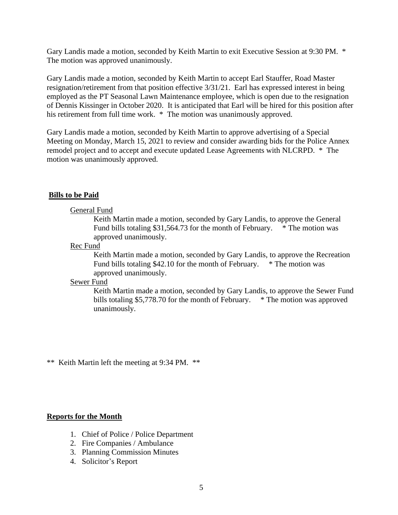Gary Landis made a motion, seconded by Keith Martin to exit Executive Session at 9:30 PM. \* The motion was approved unanimously.

Gary Landis made a motion, seconded by Keith Martin to accept Earl Stauffer, Road Master resignation/retirement from that position effective 3/31/21. Earl has expressed interest in being employed as the PT Seasonal Lawn Maintenance employee, which is open due to the resignation of Dennis Kissinger in October 2020. It is anticipated that Earl will be hired for this position after his retirement from full time work. \* The motion was unanimously approved.

Gary Landis made a motion, seconded by Keith Martin to approve advertising of a Special Meeting on Monday, March 15, 2021 to review and consider awarding bids for the Police Annex remodel project and to accept and execute updated Lease Agreements with NLCRPD. \* The motion was unanimously approved.

## **Bills to be Paid**

#### General Fund

Keith Martin made a motion, seconded by Gary Landis, to approve the General Fund bills totaling \$31,564.73 for the month of February.  $*$  The motion was approved unanimously.

#### Rec Fund

Keith Martin made a motion, seconded by Gary Landis, to approve the Recreation Fund bills totaling \$42.10 for the month of February. \* The motion was approved unanimously.

#### Sewer Fund

Keith Martin made a motion, seconded by Gary Landis, to approve the Sewer Fund bills totaling \$5,778.70 for the month of February. \* The motion was approved unanimously.

\*\* Keith Martin left the meeting at 9:34 PM. \*\*

#### **Reports for the Month**

- 1. Chief of Police / Police Department
- 2. Fire Companies / Ambulance
- 3. Planning Commission Minutes
- 4. Solicitor's Report